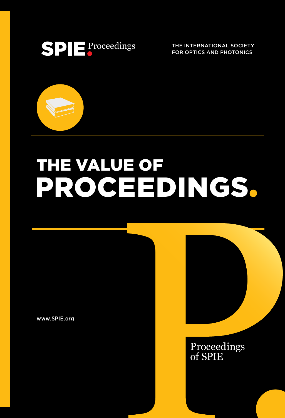

THE INTERNATIONAL SOCIETY FOR OPTICS AND PHOTONICS



# THE VALUE OF PROCHEDINGS.

www.SPIE.org



Proceedings of SPIE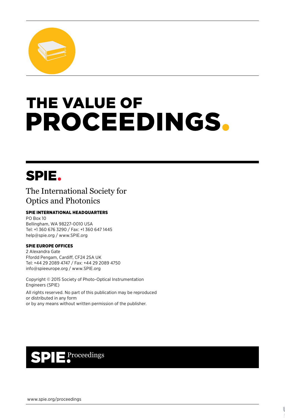

# **THE VALUE OF** PROCEEDINGS.

## SPIE.

#### The International Society for Optics and Photonics

#### SPIE INTERNATIONAL HEADQUARTERS

PO Box 10 Bellingham, WA 98227-0010 USA Tel: +1 360 676 3290 / Fax: +1 360 647 1445 help@spie.org / www.SPIE.org

#### SPIE EUROPE OFFICES

2 Alexandra Gate Ffordd Pengam, Cardiff, CF24 2SA UK Tel: +44 29 2089 4747 / Fax: +44 29 2089 4750 info@spieeurope.org / www.SPIE.org

Copyright © 2015 Society of Photo-Optical Instrumentation Engineers (SPIE) All rights reserved. No part of this publication may be reproduced or distributed in any form or by any means without written permission of the publisher.

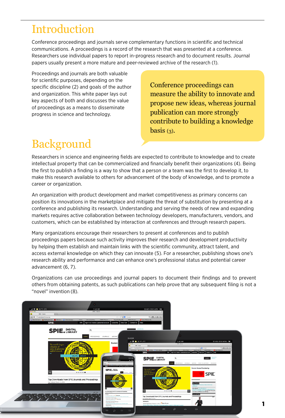### Introduction

Conference proceedings and journals serve complementary functions in scientific and technical communications. A proceedings is a record of the research that was presented at a conference. Researchers use individual papers to report in-progress research and to document results. Journal papers usually present a more mature and peer-reviewed archive of the research (1).

Proceedings and journals are both valuable for scientific purposes, depending on the specific discipline (2) and goals of the author and organization. This white paper lays out key aspects of both and discusses the value of proceedings as a means to disseminate progress in science and technology.

Conference proceedings can measure the ability to innovate and propose new ideas, whereas journal publication can more strongly contribute to building a knowledge  $basis(3)$ .

### Background

Researchers in science and engineering fields are expected to contribute to knowledge and to create intellectual property that can be commercialized and financially benefit their organizations (4). Being the first to publish a finding is a way to show that a person or a team was the first to develop it, to make this research available to others for advancement of the body of knowledge, and to promote a career or organization.

An organization with product development and market competitiveness as primary concerns can position its innovations in the marketplace and mitigate the threat of substitution by presenting at a conference and publishing its research. Understanding and serving the needs of new and expanding markets requires active collaboration between technology developers, manufacturers, vendors, and customers, which can be established by interaction at conferences and through research papers.

Many organizations encourage their researchers to present at conferences and to publish proceedings papers because such activity improves their research and development productivity by helping them establish and maintain links with the scientific community, attract talent, and access external knowledge on which they can innovate (5). For a researcher, publishing shows one's research ability and performance and can enhance one's professional status and potential career advancement (6, 7).

Organizations can use proceedings and journal papers to document their findings and to prevent others from obtaining patents, as such publications can help prove that any subsequent filing is not a "novel" invention (8).

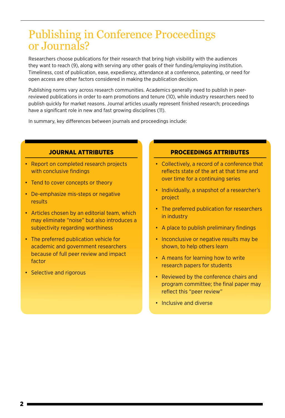### Publishing in Conference Proceedings or Journals?

Researchers choose publications for their research that bring high visibility with the audiences they want to reach (9), along with serving any other goals of their funding/employing institution. Timeliness, cost of publication, ease, expediency, attendance at a conference, patenting, or need for open access are other factors considered in making the publication decision.

Publishing norms vary across research communities. Academics generally need to publish in peerreviewed publications in order to earn promotions and tenure (10), while industry researchers need to publish quickly for market reasons. Journal articles usually represent finished research; proceedings have a significant role in new and fast growing disciplines (11).

In summary, key differences between journals and proceedings include:

#### JOURNAL ATTRIBUTES

- Report on completed research projects with conclusive findings
- Tend to cover concepts or theory
- De-emphasize mis-steps or negative results
- Articles chosen by an editorial team, which may eliminate "noise" but also introduces a subjectivity regarding worthiness
- The preferred publication vehicle for academic and government researchers because of full peer review and impact factor
- Selective and rigorous

#### PROCEEDINGS ATTRIBUTES

- Collectively, a record of a conference that reflects state of the art at that time and over time for a continuing series
- Individually, a snapshot of a researcher's project
- The preferred publication for researchers in industry
- A place to publish preliminary findings
- Inconclusive or negative results may be shown, to help others learn
- A means for learning how to write research papers for students
- Reviewed by the conference chairs and program committee; the final paper may reflect this "peer review"
- Inclusive and diverse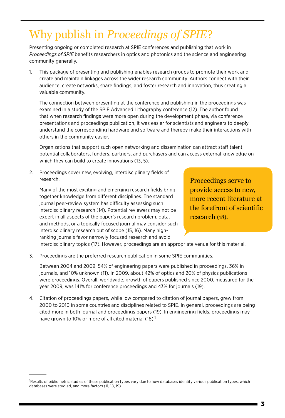# Why publish in *Proceedings of SPIE*?

Presenting ongoing or completed research at SPIE conferences and publishing that work in *Proceedings of SPIE* benefits researchers in optics and photonics and the science and engineering community generally.

1. This package of presenting and publishing enables research groups to promote their work and create and maintain linkages across the wider research community. Authors connect with their audience, create networks, share findings, and foster research and innovation, thus creating a valuable community.

The connection between presenting at the conference and publishing in the proceedings was examined in a study of the SPIE Advanced Lithography conference (12). The author found that when research findings were more open during the development phase, via conference presentations and proceedings publication, it was easier for scientists and engineers to deeply understand the corresponding hardware and software and thereby make their interactions with others in the community easier.

Organizations that support such open networking and dissemination can attract staff talent, potential collaborators, funders, partners, and purchasers and can access external knowledge on which they can build to create innovations (13, 5).

2. Proceedings cover new, evolving, interdisciplinary fields of research.

Many of the most exciting and emerging research fields bring together knowledge from different disciplines. The standard journal peer-review system has difficulty assessing such interdisciplinary research (14). Potential reviewers may not be expert in all aspects of the paper's research problem, data, and methods, or a topically focused journal may consider such interdisciplinary research out of scope (15, 16). Many highranking journals favor narrowly focused research and avoid

Proceedings serve to provide access to new, more recent literature at the forefront of scientific research (18).

interdisciplinary topics (17). However, proceedings are an appropriate venue for this material.

3. Proceedings are the preferred research publication in some SPIE communities.

Between 2004 and 2009, 54% of engineering papers were published in proceedings, 36% in journals, and 10% unknown (11). In 2009, about 42% of optics and 20% of physics publications were proceedings. Overall, worldwide, growth of papers published since 2000, measured for the year 2009, was 141% for conference proceedings and 43% for journals (19).

4. Citation of proceedings papers, while low compared to citation of journal papers, grew from 2000 to 2010 in some countries and disciplines related to SPIE. In general, proceedings are being cited more in both journal and proceedings papers (19). In engineering fields, proceedings may have grown to 10% or more of all cited material (18).<sup>1</sup>

Results of bibliometric studies of these publication types vary due to how databases identify various publication types, which databases were studied, and more factors (11, 18, 19).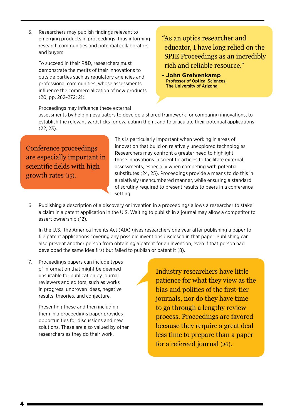5. Researchers may publish findings relevant to emerging products in proceedings, thus informing research communities and potential collaborators and buyers.

To succeed in their R&D, researchers must demonstrate the merits of their innovations to outside parties such as regulatory agencies and professional communities, whose assessments influence the commercialization of new products (20, pp. 262–272; 21).

"As an optics researcher and educator, I have long relied on the SPIE Proceedings as an incredibly rich and reliable resource."

**- John Greivenkamp**  Professor of Optical Sciences, The University of Arizona

Proceedings may influence these external

assessments by helping evaluators to develop a shared framework for comparing innovations, to establish the relevant yardsticks for evaluating them, and to articulate their potential applications (22, 23).

Conference proceedings are especially important in scientific fields with high growth rates (15).

This is particularly important when working in areas of innovation that build on relatively unexplored technologies. Researchers may confront a greater need to highlight those innovations in scientific articles to facilitate external assessments, especially when competing with potential substitutes (24, 25). Proceedings provide a means to do this in a relatively unencumbered manner, while ensuring a standard of scrutiny required to present results to peers in a conference setting.

6. Publishing a description of a discovery or invention in a proceedings allows a researcher to stake a claim in a patent application in the U.S. Waiting to publish in a journal may allow a competitor to assert ownership (12).

In the U.S., the America Invents Act (AIA) gives researchers one year after publishing a paper to file patent applications covering any possible inventions disclosed in that paper. Publishing can also prevent another person from obtaining a patent for an invention, even if that person had developed the same idea first but failed to publish or patent it (8).

7. Proceedings papers can include types of information that might be deemed unsuitable for publication by journal reviewers and editors, such as works in progress, unproven ideas, negative results, theories, and conjecture.

> Presenting these and then including them in a proceedings paper provides opportunities for discussions and new solutions. These are also valued by other researchers as they do their work.

Industry researchers have little patience for what they view as the bias and politics of the first-tier journals, nor do they have time to go through a lengthy review process. Proceedings are favored because they require a great deal less time to prepare than a paper for a refereed journal (26).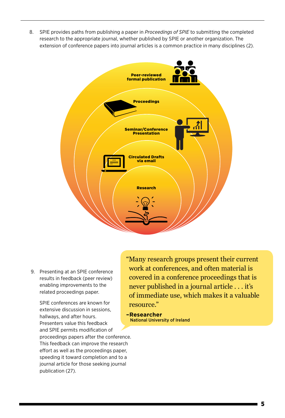8. SPIE provides paths from publishing a paper in *Proceedings of SPIE* to submitting the completed research to the appropriate journal, whether published by SPIE or another organization. The extension of conference papers into journal articles is a common practice in many disciplines (2).



 9. Presenting at an SPIE conference results in feedback (peer review) enabling improvements to the related proceedings paper.

> SPIE conferences are known for extensive discussion in sessions, hallways, and after hours. Presenters value this feedback and SPIE permits modification of proceedings papers after the conference. This feedback can improve the research effort as well as the proceedings paper, speeding it toward completion and to a journal article for those seeking journal publication (27).

"Many research groups present their current work at conferences, and often material is covered in a conference proceedings that is never published in a journal article . . . it's of immediate use, which makes it a valuable resource."

**–Researcher** National University of Ireland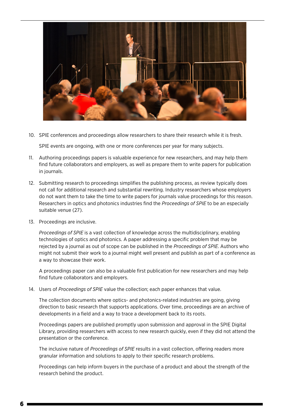

10. SPIE conferences and proceedings allow researchers to share their research while it is fresh.

SPIE events are ongoing, with one or more conferences per year for many subjects.

- 11. Authoring proceedings papers is valuable experience for new researchers, and may help them find future collaborators and employers, as well as prepare them to write papers for publication in journals.
- 12. Submitting research to proceedings simplifies the publishing process, as review typically does not call for additional research and substantial rewriting. Industry researchers whose employers do not want them to take the time to write papers for journals value proceedings for this reason. Researchers in optics and photonics industries find the *Proceedings of SPIE* to be an especially suitable venue (27).
- 13. Proceedings are inclusive.

*Proceedings of SPIE* is a vast collection of knowledge across the multidisciplinary, enabling technologies of optics and photonics. A paper addressing a specific problem that may be rejected by a journal as out of scope can be published in the *Proceedings of SPIE*. Authors who might not submit their work to a journal might well present and publish as part of a conference as a way to showcase their work.

A proceedings paper can also be a valuable first publication for new researchers and may help find future collaborators and employers.

14. Users of *Proceedings of SPIE* value the collection; each paper enhances that value.

The collection documents where optics- and photonics-related industries are going, giving direction to basic research that supports applications. Over time, proceedings are an archive of developments in a field and a way to trace a development back to its roots.

Proceedings papers are published promptly upon submission and approval in the SPIE Digital Library, providing researchers with access to new research quickly, even if they did not attend the presentation or the conference.

The inclusive nature of *Proceedings of SPIE* results in a vast collection, offering readers more granular information and solutions to apply to their specific research problems.

Proceedings can help inform buyers in the purchase of a product and about the strength of the research behind the product.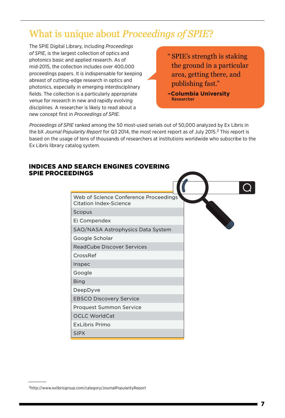### What is unique about *Proceedings of SPIE*?

The SPIE Digital Library, including *Proceedings of SPIE,* is the largest collection of optics and photonics basic and applied research. As of mid-2015, the collection includes over 400,000 proceedings papers. It is indispensable for keeping abreast of cutting-edge research in optics and photonics, especially in emerging interdisciplinary fields. The collection is a particularly appropriate venue for research in new and rapidly evolving disciplines. A researcher is likely to read about a new concept first in *Proceedings of SPIE*.

- " SPIE's strength is staking the ground in a particular area, getting there, and publishing fast."
- **–Columbia University**  Researcher

*Proceedings of SPIE* ranked among the 50 most-used serials out of 50,000 analyzed by Ex Libris in the bX *Journal Popularity Report* for Q3 2014, the most recent report as of July 2015.2 This report is based on the usage of tens of thousands of researchers at institutions worldwide who subscribe to the Ex Libris library catalog system.

#### Web of Science Conference Proceedings Citation Index-Science Scopus Ei Compendex SAO/NASA Astrophysics Data System Google Scholar ReadCube Discover Services CrossRef Inspec Google Bing DeepDyve EBSCO Discovery Service Proquest Summon Service OCLC WorldCat ExLibris Primo SIPX INDICES AND SEARCH ENGINES COVERING SPIE PROCEEDINGS

#### 2http://www.exlibrisgroup.com/category/JournalPopularityReport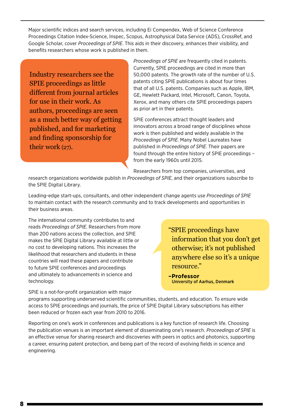Major scientific indices and search services, including Ei Compendex, Web of Science Conference Proceedings Citation Index-Science, Inspec, Scopus, Astrophysical Data Service (ADS), CrossRef, and Google Scholar, cover *Proceedings of SPIE*. This aids in their discovery, enhances their visibility, and benefits researchers whose work is published in them.

Industry researchers see the SPIE proceedings as little different from journal articles for use in their work. As authors, proceedings are seen as a much better way of getting published, and for marketing and finding sponsorship for their work (27).

*Proceedings of SPIE* are frequently cited in patents. Currently, SPIE proceedings are cited in more than 50,000 patents. The growth rate of the number of U.S. patents citing SPIE publications is about four times that of all U.S. patents. Companies such as Apple, IBM, GE, Hewlett Packard, Intel, Microsoft, Canon, Toyota, Xerox, and many others cite SPIE proceedings papers as prior art in their patents.

SPIE conferences attract thought leaders and innovators across a broad range of disciplines whose work is then published and widely available in the *Proceedings of SPIE*. Many Nobel Laureates have published in *Proceedings of SPIE*. Their papers are found through the entire history of SPIE proceedings – from the early 1960s until 2015.

Researchers from top companies, universities, and

research organizations worldwide publish in *Proceedings of SPIE*, and their organizations subscribe to the SPIE Digital Library.

Leading-edge start-ups, consultants, and other independent change agents use *Proceedings of SPIE* to maintain contact with the research community and to track developments and opportunities in their business areas.

The international community contributes to and reads *Proceedings of SPIE*. Researchers from more than 200 nations access the collection, and SPIE makes the SPIE Digital Library available at little or no cost to developing nations. This increases the likelihood that researchers and students in these countries will read these papers and contribute to future SPIE conferences and proceedings and ultimately to advancements in science and technology.

SPIE is a not-for-profit organization with major

"SPIE proceedings have information that you don't get otherwise; it's not published anywhere else so it's a unique resource."

**–Professor** University of Aarhus, Denmark

programs supporting underserved scientific communities, students, and education. To ensure wide access to SPIE proceedings and journals, the price of SPIE Digital Library subscriptions has either been reduced or frozen each year from 2010 to 2016.

Reporting on one's work in conferences and publications is a key function of research life. Choosing the publication venues is an important element of disseminating one's research. *Proceedings of SPIE* is an effective venue for sharing research and discoveries with peers in optics and photonics, supporting a career, ensuring patent protection, and being part of the record of evolving fields in science and engineering.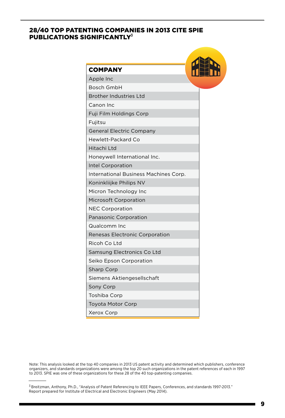#### 28/40 TOP PATENTING COMPANIES IN 2013 CITE SPIE PUBLICATIONS SIGNIFICANTLY<sup>3</sup>

| <b>COMPANY</b>                        |  |
|---------------------------------------|--|
| Apple Inc                             |  |
| <b>Bosch GmbH</b>                     |  |
| <b>Brother Industries Ltd</b>         |  |
| Canon Inc                             |  |
| Fuji Film Holdings Corp               |  |
| Fujitsu                               |  |
| <b>General Electric Company</b>       |  |
| <b>Hewlett-Packard Co</b>             |  |
| Hitachi Ltd                           |  |
| Honeywell International Inc.          |  |
| Intel Corporation                     |  |
| International Business Machines Corp. |  |
| Koninkliijke Philips NV               |  |
| Micron Technology Inc                 |  |
| <b>Microsoft Corporation</b>          |  |
| <b>NEC Corporation</b>                |  |
| Panasonic Corporation                 |  |
| Qualcomm Inc                          |  |
| Renesas Electronic Corporation        |  |
| Ricoh Co Ltd                          |  |
| Samsung Electronics Co Ltd            |  |
| Seiko Epson Corporation               |  |
| <b>Sharp Corp</b>                     |  |
| Siemens Aktiengesellschaft            |  |
| Sony Corp                             |  |
| Toshiba Corp                          |  |
| <b>Toyota Motor Corp</b>              |  |
| Xerox Corp                            |  |

Note: This analysis looked at the top 40 companies in 2013 US patent activity and determined which publishers, conference organizers, and standards organizations were among the top 20 such organizations in the patent references of each in 1997 to 2013. SPIE was one of these organizations for these 28 of the 40 top-patenting companies.

<sup>3</sup> Breitzman, Anthony, Ph.D., "Analysis of Patent Referencing to IEEE Papers, Conferences, and standards 1997-2013." Report prepared for Institute of Electrical and Electronic Engineers (May 2014).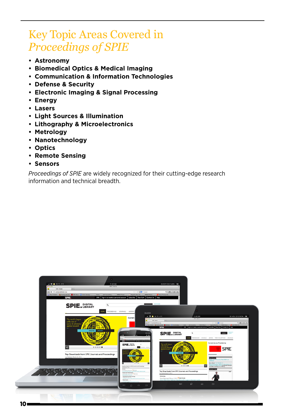### Key Topic Areas Covered in *Proceedings of SPIE*

- **Astronomy**
- **Biomedical Optics & Medical Imaging**
- **Communication & Information Technologies**
- **Defense & Security**
- **Electronic Imaging & Signal Processing**
- **Energy**
- **Lasers**
- **Light Sources & Illumination**
- **Lithography & Microelectronics**
- **Metrology**
- **Nanotechnology**
- **Optics**
- **Remote Sensing**
- **Sensors**

*Proceedings of SPIE* are widely recognized for their cutting-edge research information and technical breadth.

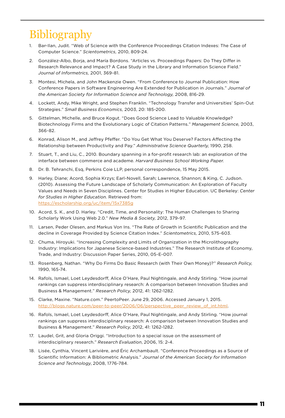## Bibliography

- 1. Bar-Ilan, Judit. "Web of Science with the Conference Proceedings Citation Indexes: The Case of Computer Science." *Scientometrics,* 2010, 809-24.
- 2. González-Albo, Borja, and María Bordons. "Articles vs. Proceedings Papers: Do They Differ in Research Relevance and Impact? A Case Study in the Library and Information Science Field." *Journal of Informetrics,* 2001, 369-81.
- 3. Montesi, Michela, and John Mackenzie Owen. "From Conference to Journal Publication: How Conference Papers in Software Engineering Are Extended for Publication in Journals." *Journal of the American Society for Information Science and Technology,* 2008, 816-29.
- 4. Lockett, Andy, Mike Wright, and Stephen Franklin. "Technology Transfer and Universities' Spin-Out Strategies." *Small Business Economics,* 2003, 20: 185-200.
- 5. Gittelman, Michelle, and Bruce Kogut. "Does Good Science Lead to Valuable Knowledge? Biotechnology Firms and the Evolutionary Logic of Citation Patterns." *Management Science,* 2003, 366-82.
- 6. Konrad, Alison M., and Jeffrey Pfeffer. "Do You Get What You Deserve? Factors Affecting the Relationship between Productivity and Pay." *Administrative Science Quarterly,* 1990, 258.
- 7. Stuart, T., and Liu, C., 2010. Boundary spanning in a for-profit research lab: an exploration of the interface between commerce and academe. *Harvard Business School Working Paper*.
- 8. Dr. B. Tehranchi, Esq, Perkins Coie LLP, personal correspondence, 15 May 2015.
- 9. Harley, Diane; Acord, Sophia Krzys; Earl-Novell, Sarah; Lawrence, Shannon; & King, C. Judson. (2010). Assessing the Future Landscape of Scholarly Communication: An Exploration of Faculty Values and Needs in Seven Disciplines. Center for Studies in Higher Education. UC Berkeley: *Center for Studies in Higher Education.* Retrieved from: https://escholarship.org/uc/item/15x7385g
- 10. Acord, S. K., and D. Harley. "Credit, Time, and Personality: The Human Challenges to Sharing Scholarly Work Using Web 2.0." *New Media & Society,* 2012, 379-97.
- 11. Larsen, Peder Olesen, and Markus Von Ins. "The Rate of Growth in Scientific Publication and the decline in Coverage Provided by Science Citation Index." *Scientometrics,* 2010, 575-603.
- 12. Chuma, Hiroyuki. "Increasing Complexity and Limits of Organization in the Microlithography Industry: Implications for Japanese Science-based Industries." The Research Institute of Economy, Trade, and Industry: Discussion Paper Series, 2010, 05-E-007.
- 13. Rosenberg, Nathan. "Why Do Firms Do Basic Research (with Their Own Money)?" *Research Policy,* 1990, 165-74.
- 14. Rafols, Ismael, Loet Leydesdorff, Alice O'Hare, Paul Nightingale, and Andy Stirling. "How journal rankings can suppress interdisciplinary research: A comparison between Innovation Studies and Business & Management." *Research Policy,* 2012, 41: 1262-1282.
- 15. Clarke, Maxine. "Nature.com." PeertoPeer. June 29, 2006. Accessed January 1, 2015. http://blogs.nature.com/peer-to-peer/2006/06/perspective\_peer\_review\_of\_int.html.
- 16. Rafols, Ismael, Loet Leydesdorff, Alice O'Hare, Paul Nightingale, and Andy Stirling. "How journal rankings can suppress interdisciplinary research: A comparison between Innovation Studies and Business & Management." *Research Policy*, 2012, 41: 1262-1282.
- 17. Laudel, Grit, and Gloria Origgi. "Introduction to a special issue on the assessment of interdisciplinary research." *Research Evaluation*, 2006, 15: 2-4.
- 18. Lisée, Cynthia, Vincent Larivière, and Éric Archambault. "Conference Proceedings as a Source of Scientific Information: A Bibliometric Analysis." *Journal of the American Society for Information Science and Technology*, 2008, 1776-784.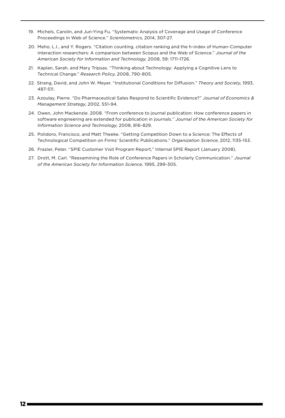- 19. Michels, Carolin, and Jun-Ying Fu. "Systematic Analysis of Coverage and Usage of Conference Proceedings in Web of Science." *Scientometrics*, 2014, 307-27.
- 20. Meho, L.I., and Y. Rogers. "Citation counting, citation ranking and the h-index of Human-Computer Interaction researchers: A comparison between Scopus and the Web of Science." *Journal of the American Society for Information and Technology,* 2008, 59: 1711-1726.
- 21. Kaplan, Sarah, and Mary Tripsas. "Thinking about Technology: Applying a Cognitive Lens to Technical Change." *Research Policy*, 2008, 790-805.
- 22. Strang, David, and John W. Meyer. "Institutional Conditions for Diffusion." *Theory and Society*, 1993, 487-511.
- 23. Azoulay, Pierre. "Do Pharmaceutical Sales Respond to Scientific Evidence?" *Journal of Economics & Management Strategy*, 2002, 551-94.
- 24. Owen, John Mackenzie. 2008. "From conference to journal publication: How conference papers in software engineering are extended for publication in journals." *Journal of the American Society for Information Science and Technology,* 2008, 816-829.
- 25. Polidoro, Francisco, and Matt Theeke. "Getting Competition Down to a Science: The Effects of Technological Competition on Firms' Scientific Publications." *Organization Science*, 2012, 1135-153.
- 26. Frazier, Peter. "SPIE Customer Visit Program Report," Internal SPIE Report (January 2008).
- 27. Drott, M. Carl. "Reexamining the Role of Conference Papers in Scholarly Communication." *Journal of the American Society for Information Science,* 1995, 299-305.